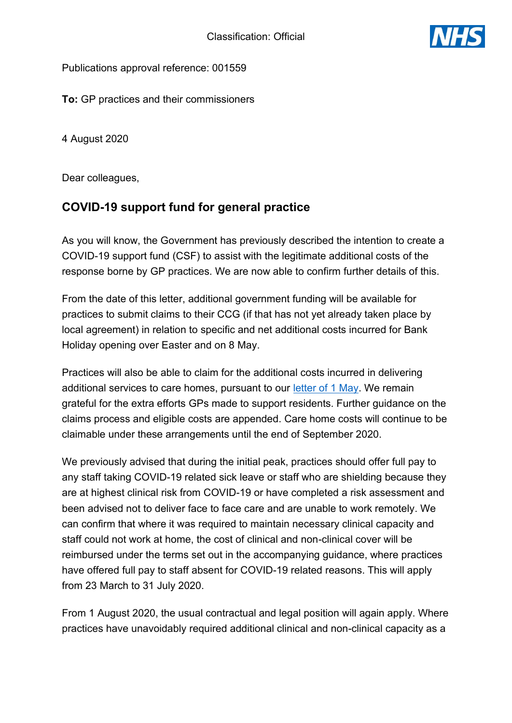

Publications approval reference: 001559

**To:** GP practices and their commissioners

4 August 2020

Dear colleagues,

# **COVID-19 support fund for general practice**

As you will know, the Government has previously described the intention to create a COVID-19 support fund (CSF) to assist with the legitimate additional costs of the response borne by GP practices. We are now able to confirm further details of this.

From the date of this letter, additional government funding will be available for practices to submit claims to their CCG (if that has not yet already taken place by local agreement) in relation to specific and net additional costs incurred for Bank Holiday opening over Easter and on 8 May.

Practices will also be able to claim for the additional costs incurred in delivering additional services to care homes, pursuant to our letter of 1 May. We remain grateful for the extra efforts GPs made to support residents. Further guidance on the claims process and eligible costs are appended. Care home costs will continue to be claimable under these arrangements until the end of September 2020.

We previously advised that during the initial peak, practices should offer full pay to any staff taking COVID-19 related sick leave or staff who are shielding because they are at highest clinical risk from COVID-19 or have completed a risk assessment and been advised not to deliver face to face care and are unable to work remotely. We can confirm that where it was required to maintain necessary clinical capacity and staff could not work at home, the cost of clinical and non-clinical cover will be reimbursed under the terms set out in the accompanying guidance, where practices have offered full pay to staff absent for COVID-19 related reasons. This will apply from 23 March to 31 July 2020.

From 1 August 2020, the usual contractual and legal position will again apply. Where practices have unavoidably required additional clinical and non-clinical capacity as a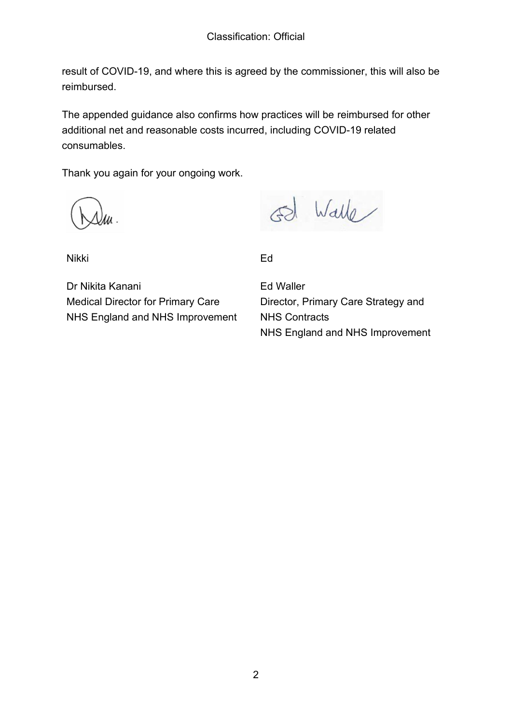result of COVID-19, and where this is agreed by the commissioner, this will also be reimbursed.

The appended guidance also confirms how practices will be reimbursed for other additional net and reasonable costs incurred, including COVID-19 related consumables.

Thank you again for your ongoing work.

Walle

Nikki

Ed

Dr Nikita Kanani Medical Director for Primary Care NHS England and NHS Improvement

Ed Waller Director, Primary Care Strategy and NHS Contracts NHS England and NHS Improvement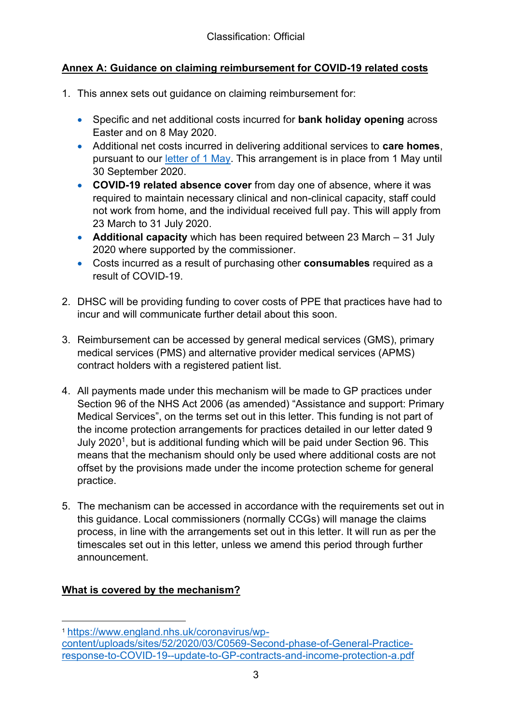# **Annex A: Guidance on claiming reimbursement for COVID-19 related costs**

- 1. This annex sets out guidance on claiming reimbursement for:
	- **•** Specific and net additional costs incurred for **bank holiday opening** across Easter and on 8 May 2020.
	- x Additional net costs incurred in delivering additional services to **care homes**, pursuant to our letter of 1 May. This arrangement is in place from 1 May until 30 September 2020.
	- **COVID-19 related absence cover** from day one of absence, where it was required to maintain necessary clinical and non-clinical capacity, staff could not work from home, and the individual received full pay. This will apply from 23 March to 31 July 2020.
	- **Additional capacity** which has been required between 23 March 31 July 2020 where supported by the commissioner.
	- x Costs incurred as a result of purchasing other **consumables** required as a result of COVID-19.
- 2. DHSC will be providing funding to cover costs of PPE that practices have had to incur and will communicate further detail about this soon.
- 3. Reimbursement can be accessed by general medical services (GMS), primary medical services (PMS) and alternative provider medical services (APMS) contract holders with a registered patient list.
- 4. All payments made under this mechanism will be made to GP practices under Section 96 of the NHS Act 2006 (as amended) "Assistance and support: Primary Medical Services", on the terms set out in this letter. This funding is not part of the income protection arrangements for practices detailed in our letter dated 9 July 2020<sup>1</sup>, but is additional funding which will be paid under Section 96. This means that the mechanism should only be used where additional costs are not offset by the provisions made under the income protection scheme for general practice.
- 5. The mechanism can be accessed in accordance with the requirements set out in this guidance. Local commissioners (normally CCGs) will manage the claims process, in line with the arrangements set out in this letter. It will run as per the timescales set out in this letter, unless we amend this period through further announcement.

# **What is covered by the mechanism?**

<sup>1</sup> https://www.england.nhs.uk/coronavirus/wp-

content/uploads/sites/52/2020/03/C0569-Second-phase-of-General-Practiceresponse-to-COVID-19--update-to-GP-contracts-and-income-protection-a.pdf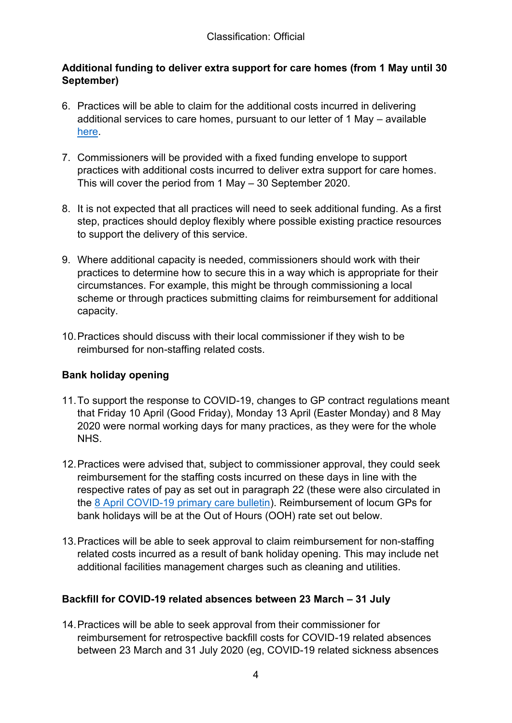# **Additional funding to deliver extra support for care homes (from 1 May until 30 September)**

- 6. Practices will be able to claim for the additional costs incurred in delivering additional services to care homes, pursuant to our letter of 1 May  $-$  available here.
- 7. Commissioners will be provided with a fixed funding envelope to support practices with additional costs incurred to deliver extra support for care homes. This will cover the period from  $1$  May  $-$  30 September 2020.
- 8. It is not expected that all practices will need to seek additional funding. As a first step, practices should deploy flexibly where possible existing practice resources to support the delivery of this service.
- 9. Where additional capacity is needed, commissioners should work with their practices to determine how to secure this in a way which is appropriate for their circumstances. For example, this might be through commissioning a local scheme or through practices submitting claims for reimbursement for additional capacity.
- 10.Practices should discuss with their local commissioner if they wish to be reimbursed for non-staffing related costs.

# **Bank holiday opening**

- 11.To support the response to COVID-19, changes to GP contract regulations meant that Friday 10 April (Good Friday), Monday 13 April (Easter Monday) and 8 May 2020 were normal working days for many practices, as they were for the whole **NHS**
- 12.Practices were advised that, subject to commissioner approval, they could seek reimbursement for the staffing costs incurred on these days in line with the respective rates of pay as set out in paragraph 22 (these were also circulated in the 8 April COVID-19 primary care bulletin). Reimbursement of locum GPs for bank holidays will be at the Out of Hours (OOH) rate set out below.
- 13.Practices will be able to seek approval to claim reimbursement for non-staffing related costs incurred as a result of bank holiday opening. This may include net additional facilities management charges such as cleaning and utilities.

# **Backfill for COVID-19 related absences between 23 March – 31 July**

14.Practices will be able to seek approval from their commissioner for reimbursement for retrospective backfill costs for COVID-19 related absences between 23 March and 31 July 2020 (eg, COVID-19 related sickness absences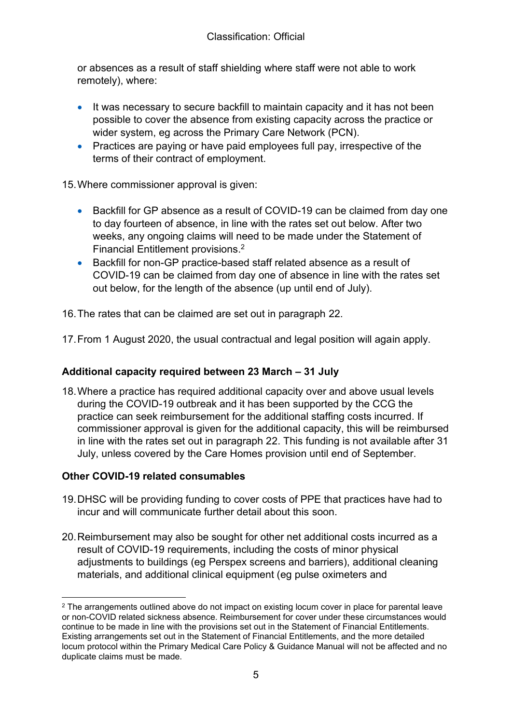or absences as a result of staff shielding where staff were not able to work remotely), where:

- It was necessary to secure backfill to maintain capacity and it has not been possible to cover the absence from existing capacity across the practice or wider system, eg across the Primary Care Network (PCN).
- Practices are paying or have paid employees full pay, irrespective of the terms of their contract of employment.

15.Where commissioner approval is given:

- Backfill for GP absence as a result of COVID-19 can be claimed from day one to day fourteen of absence, in line with the rates set out below. After two weeks, any ongoing claims will need to be made under the Statement of Financial Entitlement provisions. 2
- Backfill for non-GP practice-based staff related absence as a result of COVID-19 can be claimed from day one of absence in line with the rates set out below, for the length of the absence (up until end of July).

16.The rates that can be claimed are set out in paragraph 22.

17.From 1 August 2020, the usual contractual and legal position will again apply.

# **Additional capacity required between 23 March – 31 July**

18.Where a practice has required additional capacity over and above usual levels during the COVID-19 outbreak and it has been supported by the CCG the practice can seek reimbursement for the additional staffing costs incurred. If commissioner approval is given for the additional capacity, this will be reimbursed in line with the rates set out in paragraph 22. This funding is not available after 31 July, unless covered by the Care Homes provision until end of September.

# **Other COVID-19 related consumables**

- 19.DHSC will be providing funding to cover costs of PPE that practices have had to incur and will communicate further detail about this soon.
- 20.Reimbursement may also be sought for other net additional costs incurred as a result of COVID-19 requirements, including the costs of minor physical adjustments to buildings (eg Perspex screens and barriers), additional cleaning materials, and additional clinical equipment (eg pulse oximeters and

<sup>&</sup>lt;sup>2</sup> The arrangements outlined above do not impact on existing locum cover in place for parental leave or non-COVID related sickness absence. Reimbursement for cover under these circumstances would continue to be made in line with the provisions set out in the Statement of Financial Entitlements. Existing arrangements set out in the Statement of Financial Entitlements, and the more detailed locum protocol within the Primary Medical Care Policy & Guidance Manual will not be affected and no duplicate claims must be made.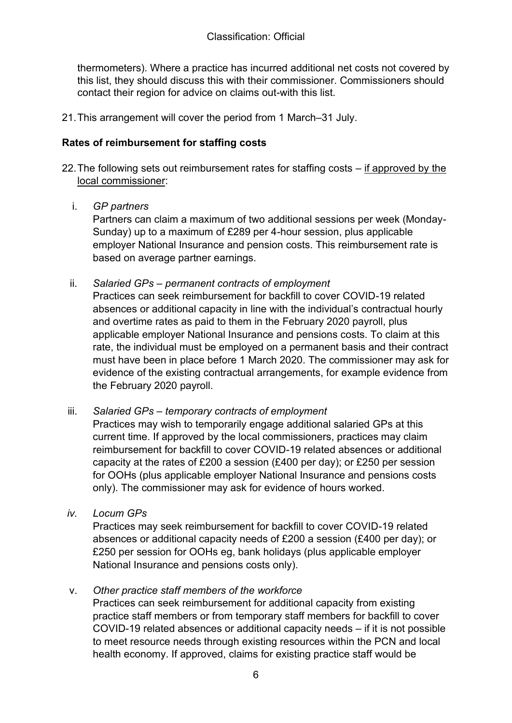thermometers). Where a practice has incurred additional net costs not covered by this list, they should discuss this with their commissioner. Commissioners should contact their region for advice on claims out-with this list.

21. This arrangement will cover the period from 1 March-31 July.

### **Rates of reimbursement for staffing costs**

- 22. The following sets out reimbursement rates for staffing costs  $-$  if approved by the local commissioner:
	- i. *GP partners*

Partners can claim a maximum of two additional sessions per week (Monday-Sunday) up to a maximum of £289 per 4-hour session, plus applicable employer National Insurance and pension costs. This reimbursement rate is based on average partner earnings.

ii. *Salaried GPs – permanent contracts of employment*

Practices can seek reimbursement for backfill to cover COVID-19 related absences or additional capacity in line with the individual's contractual hourly and overtime rates as paid to them in the February 2020 payroll, plus applicable employer National Insurance and pensions costs. To claim at this rate, the individual must be employed on a permanent basis and their contract must have been in place before 1 March 2020. The commissioner may ask for evidence of the existing contractual arrangements, for example evidence from the February 2020 payroll.

#### iii. *Salaried GPs – temporary contracts of employment*

Practices may wish to temporarily engage additional salaried GPs at this current time. If approved by the local commissioners, practices may claim reimbursement for backfill to cover COVID-19 related absences or additional capacity at the rates of £200 a session (£400 per day); or £250 per session for OOHs (plus applicable employer National Insurance and pensions costs only). The commissioner may ask for evidence of hours worked.

*iv. Locum GPs*

Practices may seek reimbursement for backfill to cover COVID-19 related absences or additional capacity needs of £200 a session (£400 per day); or £250 per session for OOHs eg, bank holidays (plus applicable employer National Insurance and pensions costs only).

# v. *Other practice staff members of the workforce*

Practices can seek reimbursement for additional capacity from existing practice staff members or from temporary staff members for backfill to cover COVID-19 related absences or additional capacity needs - if it is not possible to meet resource needs through existing resources within the PCN and local health economy. If approved, claims for existing practice staff would be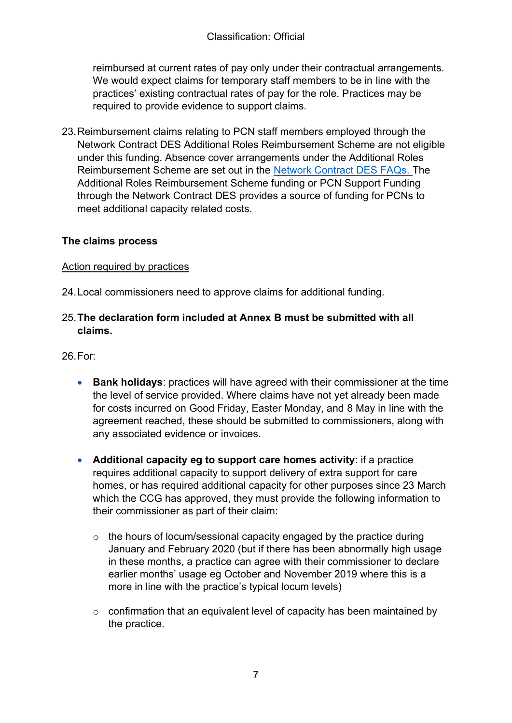reimbursed at current rates of pay only under their contractual arrangements. We would expect claims for temporary staff members to be in line with the practices' existing contractual rates of pay for the role. Practices may be required to provide evidence to support claims.

23.Reimbursement claims relating to PCN staff members employed through the Network Contract DES Additional Roles Reimbursement Scheme are not eligible under this funding. Absence cover arrangements under the Additional Roles Reimbursement Scheme are set out in the Network Contract DES FAQs. The Additional Roles Reimbursement Scheme funding or PCN Support Funding through the Network Contract DES provides a source of funding for PCNs to meet additional capacity related costs.

#### **The claims process**

#### Action required by practices

24.Local commissioners need to approve claims for additional funding.

#### 25.**The declaration form included at Annex B must be submitted with all claims.**

26.For:

- **Bank holidays:** practices will have agreed with their commissioner at the time the level of service provided. Where claims have not yet already been made for costs incurred on Good Friday, Easter Monday, and 8 May in line with the agreement reached, these should be submitted to commissioners, along with any associated evidence or invoices.
- x **Additional capacity eg to support care homes activity**: if a practice requires additional capacity to support delivery of extra support for care homes, or has required additional capacity for other purposes since 23 March which the CCG has approved, they must provide the following information to their commissioner as part of their claim:
	- o the hours of locum/sessional capacity engaged by the practice during January and February 2020 (but if there has been abnormally high usage in these months, a practice can agree with their commissioner to declare earlier months' usage eg October and November 2019 where this is a more in line with the practice's typical locum levels)
	- o confirmation that an equivalent level of capacity has been maintained by the practice.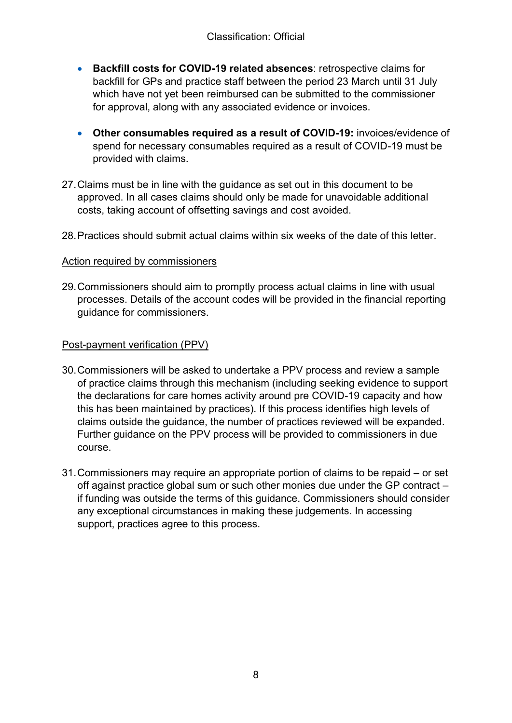- **Backfill costs for COVID-19 related absences: retrospective claims for** backfill for GPs and practice staff between the period 23 March until 31 July which have not yet been reimbursed can be submitted to the commissioner for approval, along with any associated evidence or invoices.
- x **Other consumables required as a result of COVID-19:** invoices/evidence of spend for necessary consumables required as a result of COVID-19 must be provided with claims.
- 27.Claims must be in line with the guidance as set out in this document to be approved. In all cases claims should only be made for unavoidable additional costs, taking account of offsetting savings and cost avoided.
- 28.Practices should submit actual claims within six weeks of the date of this letter.

#### Action required by commissioners

29.Commissioners should aim to promptly process actual claims in line with usual processes. Details of the account codes will be provided in the financial reporting guidance for commissioners.

#### Post-payment verification (PPV)

- 30.Commissioners will be asked to undertake a PPV process and review a sample of practice claims through this mechanism (including seeking evidence to support the declarations for care homes activity around pre COVID-19 capacity and how this has been maintained by practices). If this process identifies high levels of claims outside the guidance, the number of practices reviewed will be expanded. Further guidance on the PPV process will be provided to commissioners in due course.
- 31. Commissioners may require an appropriate portion of claims to be repaid  $-$  or set off against practice global sum or such other monies due under the GP contract  $$ if funding was outside the terms of this guidance. Commissioners should consider any exceptional circumstances in making these judgements. In accessing support, practices agree to this process.